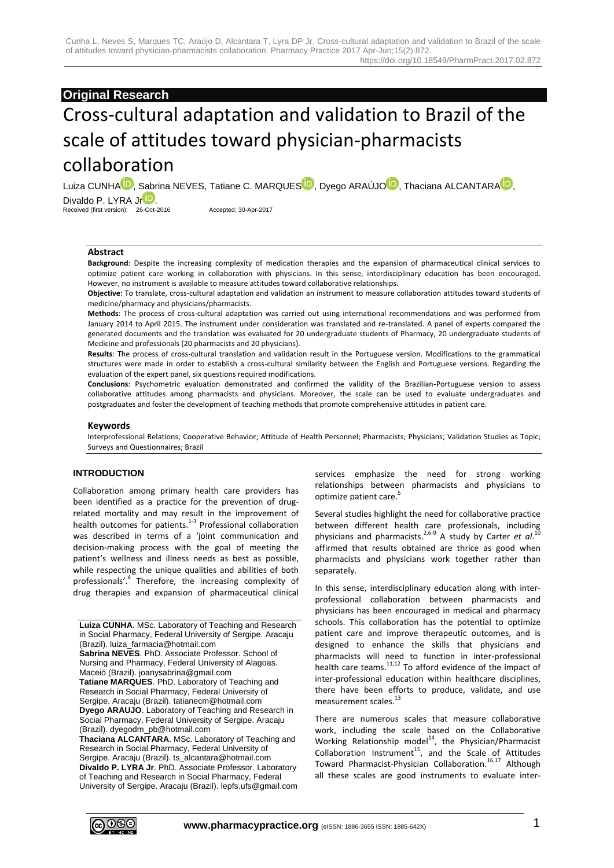# **Original Research**

# Cross-cultural adaptation and validation to Brazil of the scale of attitudes toward physician-pharmacists collaboration

Luiza CUNH[A](http://orcid.org/0000-0002-1653-343X)<sup>ID</sup>, [S](http://orcid.org/0000-0003-2310-7006)abrina NEVES, Tatiane C. MARQUES<sup>ID</sup>, Dyego ARAÚJ[O](http://orcid.org/0000-0001-6631-465X)<sup>ID</sup>[,](http://orcid.org/0000-0003-0781-7999) Thaciana ALCANTARA<sup>ID</sup>, Divaldo P. LYRA J[r](http://orcid.org/0000-0002-0266-0702)<sup>D</sup>.

Received (first version): 26-Oct-2016 Accepted: 30-Apr-2017

## **Abstract**

**Background**: Despite the increasing complexity of medication therapies and the expansion of pharmaceutical clinical services to optimize patient care working in collaboration with physicians. In this sense, interdisciplinary education has been encouraged. However, no instrument is available to measure attitudes toward collaborative relationships.

**Objective**: To translate, cross-cultural adaptation and validation an instrument to measure collaboration attitudes toward students of medicine/pharmacy and physicians/pharmacists.

**Methods**: The process of cross-cultural adaptation was carried out using international recommendations and was performed from January 2014 to April 2015. The instrument under consideration was translated and re-translated. A panel of experts compared the generated documents and the translation was evaluated for 20 undergraduate students of Pharmacy, 20 undergraduate students of Medicine and professionals (20 pharmacists and 20 physicians).

**Results**: The process of cross-cultural translation and validation result in the Portuguese version. Modifications to the grammatical structures were made in order to establish a cross-cultural similarity between the English and Portuguese versions. Regarding the evaluation of the expert panel, six questions required modifications.

**Conclusions**: Psychometric evaluation demonstrated and confirmed the validity of the Brazilian-Portuguese version to assess collaborative attitudes among pharmacists and physicians. Moreover, the scale can be used to evaluate undergraduates and postgraduates and foster the development of teaching methods that promote comprehensive attitudes in patient care.

#### **Keywords**

Interprofessional Relations; Cooperative Behavior; Attitude of Health Personnel; Pharmacists; Physicians; Validation Studies as Topic; Surveys and Questionnaires; Brazil

## **INTRODUCTION**

Collaboration among primary health care providers has been identified as a practice for the prevention of drugrelated mortality and may result in the improvement of health outcomes for patients.<sup>1-3</sup> Professional collaboration was described in terms of a 'ioint communication and decision-making process with the goal of meeting the patient's wellness and illness needs as best as possible, while respecting the unique qualities and abilities of both professionals'.<sup>4</sup> Therefore, the increasing complexity of drug therapies and expansion of pharmaceutical clinical

**Luiza CUNHA**. MSc. Laboratory of Teaching and Research in Social Pharmacy, Federal University of Sergipe. Aracaju (Brazil). luiza\_farmacia@hotmail.com **Sabrina NEVES**. PhD. Associate Professor. School of Nursing and Pharmacy, Federal University of Alagoas. Maceió (Brazil). joanysabrina@gmail.com **Tatiane MARQUES**. PhD. Laboratory of Teaching and Research in Social Pharmacy, Federal University of Sergipe. Aracaju (Brazil). tatianecm@hotmail.com **Dyego ARAUJO**. Laboratory of Teaching and Research in Social Pharmacy, Federal University of Sergipe. Aracaju (Brazil). dyegodm\_pb@hotmail.com **Thaciana ALCANTARA**. MSc. Laboratory of Teaching and Research in Social Pharmacy, Federal University of

Sergipe. Aracaju (Brazil). ts\_alcantara@hotmail.com **Divaldo P. LYRA Jr**. PhD. Associate Professor. Laboratory of Teaching and Research in Social Pharmacy, Federal University of Sergipe. Aracaju (Brazil). lepfs.ufs@gmail.com services emphasize the need for strong working relationships between pharmacists and physicians to optimize patient care. 5

Several studies highlight the need for collaborative practice between different health care professionals, including physicians and pharmacists.<sup>2,6-9</sup> A study by Carter *et al*.<sup>10</sup> affirmed that results obtained are thrice as good when pharmacists and physicians work together rather than separately.

In this sense, interdisciplinary education along with interprofessional collaboration between pharmacists and physicians has been encouraged in medical and pharmacy schools. This collaboration has the potential to optimize patient care and improve therapeutic outcomes, and is designed to enhance the skills that physicians and pharmacists will need to function in inter-professional health care teams.<sup>11,12</sup> To afford evidence of the impact of inter-professional education within healthcare disciplines, there have been efforts to produce, validate, and use measurement scales.<sup>13</sup>

There are numerous scales that measure collaborative work, including the scale based on the Collaborative Working Relationship model<sup>14</sup>, the Physician/Pharmacist Collaboration Instrument<sup>15</sup>, and the Scale of Attitudes Toward Pharmacist-Physician Collaboration. 16,17 Although all these scales are good instruments to evaluate inter-

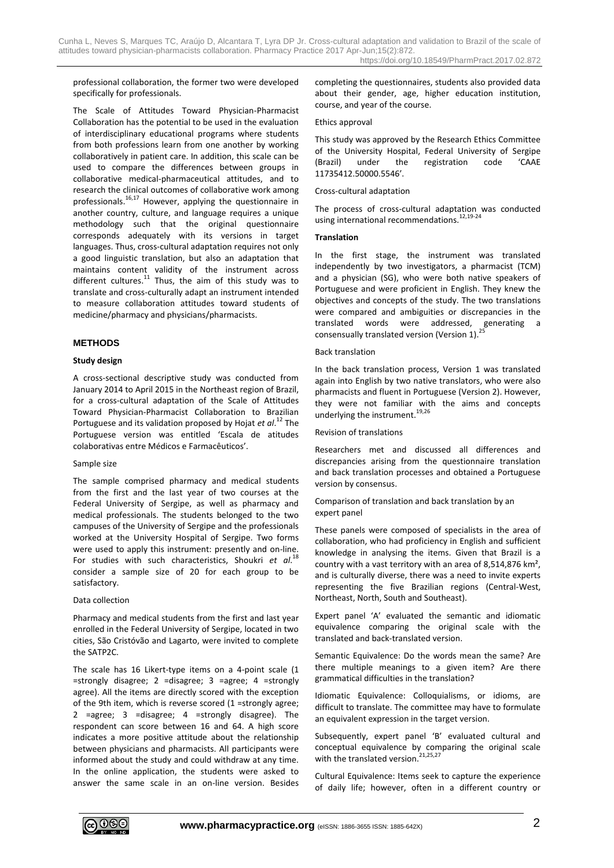professional collaboration, the former two were developed specifically for professionals.

The Scale of Attitudes Toward Physician-Pharmacist Collaboration has the potential to be used in the evaluation of interdisciplinary educational programs where students from both professions learn from one another by working collaboratively in patient care. In addition, this scale can be used to compare the differences between groups in collaborative medical-pharmaceutical attitudes, and to research the clinical outcomes of collaborative work among professionals.<sup>16,17</sup> However, applying the questionnaire in another country, culture, and language requires a unique methodology such that the original questionnaire corresponds adequately with its versions in target languages. Thus, cross-cultural adaptation requires not only a good linguistic translation, but also an adaptation that maintains content validity of the instrument across different cultures.<sup>11</sup> Thus, the aim of this study was to translate and cross-culturally adapt an instrument intended to measure collaboration attitudes toward students of medicine/pharmacy and physicians/pharmacists.

## **METHODS**

#### **Study design**

A cross-sectional descriptive study was conducted from January 2014 to April 2015 in the Northeast region of Brazil, for a cross-cultural adaptation of the Scale of Attitudes Toward Physician-Pharmacist Collaboration to Brazilian Portuguese and its validation proposed by Hojat *et al*. <sup>12</sup> The Portuguese version was entitled 'Escala de atitudes colaborativas entre Médicos e Farmacêuticos'.

#### Sample size

The sample comprised pharmacy and medical students from the first and the last year of two courses at the Federal University of Sergipe, as well as pharmacy and medical professionals. The students belonged to the two campuses of the University of Sergipe and the professionals worked at the University Hospital of Sergipe. Two forms were used to apply this instrument: presently and on-line. For studies with such characteristics, Shoukri *et al*. 18 consider a sample size of 20 for each group to be satisfactory.

#### Data collection

Pharmacy and medical students from the first and last year enrolled in the Federal University of Sergipe, located in two cities, São Cristóvão and Lagarto, were invited to complete the SATP2C.

The scale has 16 Likert-type items on a 4-point scale (1 =strongly disagree; 2 =disagree; 3 =agree; 4 =strongly agree). All the items are directly scored with the exception of the 9th item, which is reverse scored (1 =strongly agree; 2 =agree; 3 =disagree; 4 =strongly disagree). The respondent can score between 16 and 64. A high score indicates a more positive attitude about the relationship between physicians and pharmacists. All participants were informed about the study and could withdraw at any time. In the online application, the students were asked to answer the same scale in an on-line version. Besides completing the questionnaires, students also provided data about their gender, age, higher education institution, course, and year of the course.

#### Ethics approval

This study was approved by the Research Ethics Committee of the University Hospital, Federal University of Sergipe (Brazil) under the registration code 'CAAE 11735412.50000.5546'.

#### Cross-cultural adaptation

The process of cross-cultural adaptation was conducted using international recommendations.<sup>12,19-24</sup>

#### **Translation**

In the first stage, the instrument was translated independently by two investigators, a pharmacist (TCM) and a physician (SG), who were both native speakers of Portuguese and were proficient in English. They knew the objectives and concepts of the study. The two translations were compared and ambiguities or discrepancies in the translated words were addressed, generating a consensually translated version (Version 1).<sup>25</sup>

#### Back translation

In the back translation process, Version 1 was translated again into English by two native translators, who were also pharmacists and fluent in Portuguese (Version 2). However, they were not familiar with the aims and concepts underlying the instrument.<sup>19,26</sup>

#### Revision of translations

Researchers met and discussed all differences and discrepancies arising from the questionnaire translation and back translation processes and obtained a Portuguese version by consensus.

## Comparison of translation and back translation by an expert panel

These panels were composed of specialists in the area of collaboration, who had proficiency in English and sufficient knowledge in analysing the items. Given that Brazil is a country with a vast territory with an area of 8,514,876 km², and is culturally diverse, there was a need to invite experts representing the five Brazilian regions (Central-West, Northeast, North, South and Southeast).

Expert panel 'A' evaluated the semantic and idiomatic equivalence comparing the original scale with the translated and back-translated version.

Semantic Equivalence: Do the words mean the same? Are there multiple meanings to a given item? Are there grammatical difficulties in the translation?

Idiomatic Equivalence: Colloquialisms, or idioms, are difficult to translate. The committee may have to formulate an equivalent expression in the target version.

Subsequently, expert panel 'B' evaluated cultural and conceptual equivalence by comparing the original scale with the translated version.<sup>21,25,27</sup>

Cultural Equivalence: Items seek to capture the experience of daily life; however, often in a different country or

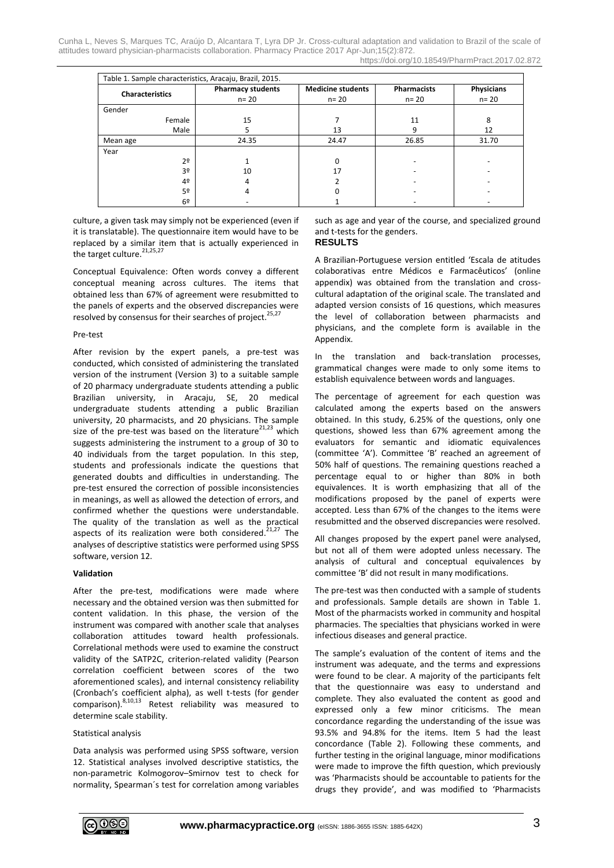Cunha L, Neves S, Marques TC, Araújo D, Alcantara T, Lyra DP Jr. Cross-cultural adaptation and validation to Brazil of the scale of attitudes toward physician-pharmacists collaboration. Pharmacy Practice 2017 Apr-Jun;15(2):872. https://doi.org/10.18549/PharmPract.2017.02.872

|                        |                | Table 1. Sample characteristics, Aracaju, Brazil, 2015. |                                      |                                |                               |
|------------------------|----------------|---------------------------------------------------------|--------------------------------------|--------------------------------|-------------------------------|
| <b>Characteristics</b> |                | <b>Pharmacy students</b><br>$n = 20$                    | <b>Medicine students</b><br>$n = 20$ | <b>Pharmacists</b><br>$n = 20$ | <b>Physicians</b><br>$n = 20$ |
| Gender                 |                |                                                         |                                      |                                |                               |
|                        | Female         | 15                                                      |                                      | 11                             | 8                             |
|                        | Male           | 5                                                       | 13                                   | 9                              | 12                            |
| Mean age               |                | 24.35                                                   | 24.47                                | 26.85                          | 31.70                         |
| Year                   |                |                                                         |                                      |                                |                               |
|                        | 2 <sup>0</sup> |                                                         | 0                                    |                                |                               |
|                        | 3 <sup>o</sup> | 10                                                      | 17                                   |                                |                               |
|                        | 4º             | 4                                                       |                                      |                                |                               |
|                        | 5º             | 4                                                       | ი                                    |                                |                               |
|                        | 6 <sup>2</sup> |                                                         |                                      |                                |                               |

culture, a given task may simply not be experienced (even if it is translatable). The questionnaire item would have to be replaced by a similar item that is actually experienced in the target culture.<sup>21,25,27</sup>

Conceptual Equivalence: Often words convey a different conceptual meaning across cultures. The items that obtained less than 67% of agreement were resubmitted to the panels of experts and the observed discrepancies were resolved by consensus for their searches of project.<sup>25,27</sup>

#### Pre-test

After revision by the expert panels, a pre-test was conducted, which consisted of administering the translated version of the instrument (Version 3) to a suitable sample of 20 pharmacy undergraduate students attending a public Brazilian university, in Aracaju, SE, 20 medical undergraduate students attending a public Brazilian university, 20 pharmacists, and 20 physicians. The sample size of the pre-test was based on the literature $^{21,23}$  which suggests administering the instrument to a group of 30 to 40 individuals from the target population. In this step, students and professionals indicate the questions that generated doubts and difficulties in understanding. The pre-test ensured the correction of possible inconsistencies in meanings, as well as allowed the detection of errors, and confirmed whether the questions were understandable. The quality of the translation as well as the practical aspects of its realization were both considered. $21,27$  The analyses of descriptive statistics were performed using SPSS software, version 12.

## **Validation**

After the pre-test, modifications were made where necessary and the obtained version was then submitted for content validation. In this phase, the version of the instrument was compared with another scale that analyses collaboration attitudes toward health professionals. Correlational methods were used to examine the construct validity of the SATP2C, criterion-related validity (Pearson correlation coefficient between scores of the two aforementioned scales), and internal consistency reliability (Cronbach's coefficient alpha), as well t-tests (for gender comparison). 8,10,13 Retest reliability was measured to determine scale stability.

## Statistical analysis

Data analysis was performed using SPSS software, version 12. Statistical analyses involved descriptive statistics, the non-parametric Kolmogorov–Smirnov test to check for normality, Spearman´s test for correlation among variables such as age and year of the course, and specialized ground and t-tests for the genders.

## **RESULTS**

A Brazilian-Portuguese version entitled 'Escala de atitudes colaborativas entre Médicos e Farmacêuticos' (online appendix) was obtained from the translation and crosscultural adaptation of the original scale. The translated and adapted version consists of 16 questions, which measures the level of collaboration between pharmacists and physicians, and the complete form is available in the Appendix.

In the translation and back-translation processes, grammatical changes were made to only some items to establish equivalence between words and languages.

The percentage of agreement for each question was calculated among the experts based on the answers obtained. In this study, 6.25% of the questions, only one questions, showed less than 67% agreement among the evaluators for semantic and idiomatic equivalences (committee 'A'). Committee 'B' reached an agreement of 50% half of questions. The remaining questions reached a percentage equal to or higher than 80% in both equivalences. It is worth emphasizing that all of the modifications proposed by the panel of experts were accepted. Less than 67% of the changes to the items were resubmitted and the observed discrepancies were resolved.

All changes proposed by the expert panel were analysed, but not all of them were adopted unless necessary. The analysis of cultural and conceptual equivalences by committee 'B' did not result in many modifications.

The pre-test was then conducted with a sample of students and professionals. Sample details are shown in Table 1. Most of the pharmacists worked in community and hospital pharmacies. The specialties that physicians worked in were infectious diseases and general practice.

The sample's evaluation of the content of items and the instrument was adequate, and the terms and expressions were found to be clear. A majority of the participants felt that the questionnaire was easy to understand and complete. They also evaluated the content as good and expressed only a few minor criticisms. The mean concordance regarding the understanding of the issue was 93.5% and 94.8% for the items. Item 5 had the least concordance (Table 2). Following these comments, and further testing in the original language, minor modifications were made to improve the fifth question, which previously was 'Pharmacists should be accountable to patients for the drugs they provide', and was modified to 'Pharmacists

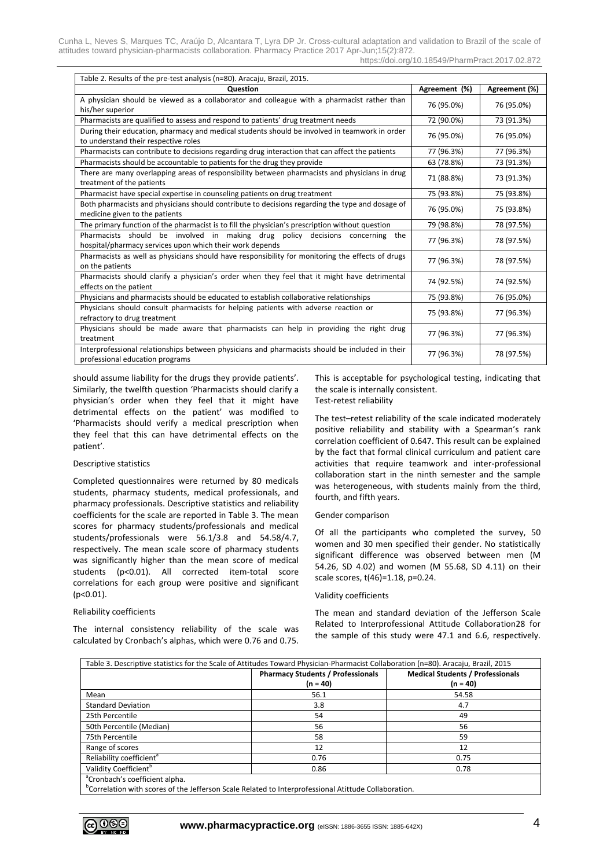https://doi.org/10.18549/PharmPract.2017.02.872

| Table 2. Results of the pre-test analysis (n=80). Aracaju, Brazil, 2015.                                                                     |               |               |  |  |  |
|----------------------------------------------------------------------------------------------------------------------------------------------|---------------|---------------|--|--|--|
| <b>Ouestion</b>                                                                                                                              | Agreement (%) | Agreement (%) |  |  |  |
| A physician should be viewed as a collaborator and colleague with a pharmacist rather than<br>his/her superior                               | 76 (95.0%)    | 76 (95.0%)    |  |  |  |
| Pharmacists are qualified to assess and respond to patients' drug treatment needs                                                            | 72 (90.0%)    | 73 (91.3%)    |  |  |  |
| During their education, pharmacy and medical students should be involved in teamwork in order<br>to understand their respective roles        | 76 (95.0%)    | 76 (95.0%)    |  |  |  |
| Pharmacists can contribute to decisions regarding drug interaction that can affect the patients                                              | 77 (96.3%)    | 77 (96.3%)    |  |  |  |
| Pharmacists should be accountable to patients for the drug they provide                                                                      | 63 (78.8%)    | 73 (91.3%)    |  |  |  |
| There are many overlapping areas of responsibility between pharmacists and physicians in drug<br>treatment of the patients                   | 71 (88.8%)    | 73 (91.3%)    |  |  |  |
| Pharmacist have special expertise in counseling patients on drug treatment                                                                   | 75 (93.8%)    | 75 (93.8%)    |  |  |  |
| Both pharmacists and physicians should contribute to decisions regarding the type and dosage of<br>medicine given to the patients            | 76 (95.0%)    | 75 (93.8%)    |  |  |  |
| The primary function of the pharmacist is to fill the physician's prescription without question                                              | 79 (98.8%)    | 78 (97.5%)    |  |  |  |
| Pharmacists should be involved in making drug policy decisions concerning<br>the<br>hospital/pharmacy services upon which their work depends | 77 (96.3%)    | 78 (97.5%)    |  |  |  |
| Pharmacists as well as physicians should have responsibility for monitoring the effects of drugs<br>on the patients                          | 77 (96.3%)    | 78 (97.5%)    |  |  |  |
| Pharmacists should clarify a physician's order when they feel that it might have detrimental<br>effects on the patient                       | 74 (92.5%)    | 74 (92.5%)    |  |  |  |
| Physicians and pharmacists should be educated to establish collaborative relationships                                                       | 75 (93.8%)    | 76 (95.0%)    |  |  |  |
| Physicians should consult pharmacists for helping patients with adverse reaction or<br>refractory to drug treatment                          | 75 (93.8%)    | 77 (96.3%)    |  |  |  |
| Physicians should be made aware that pharmacists can help in providing the right drug<br>treatment                                           | 77 (96.3%)    | 77 (96.3%)    |  |  |  |
| Interprofessional relationships between physicians and pharmacists should be included in their<br>professional education programs            | 77 (96.3%)    | 78 (97.5%)    |  |  |  |

should assume liability for the drugs they provide patients'. Similarly, the twelfth question 'Pharmacists should clarify a physician's order when they feel that it might have detrimental effects on the patient' was modified to 'Pharmacists should verify a medical prescription when they feel that this can have detrimental effects on the patient'.

#### Descriptive statistics

Completed questionnaires were returned by 80 medicals students, pharmacy students, medical professionals, and pharmacy professionals. Descriptive statistics and reliability coefficients for the scale are reported in Table 3. The mean scores for pharmacy students/professionals and medical students/professionals were 56.1/3.8 and 54.58/4.7, respectively. The mean scale score of pharmacy students was significantly higher than the mean score of medical students (p<0.01). All corrected item-total score correlations for each group were positive and significant (p<0.01).

## Reliability coefficients

The internal consistency reliability of the scale was calculated by Cronbach's alphas, which were 0.76 and 0.75. This is acceptable for psychological testing, indicating that the scale is internally consistent. Test-retest reliability

The test–retest reliability of the scale indicated moderately positive reliability and stability with a Spearman's rank correlation coefficient of 0.647. This result can be explained by the fact that formal clinical curriculum and patient care activities that require teamwork and inter-professional collaboration start in the ninth semester and the sample was heterogeneous, with students mainly from the third, fourth, and fifth years.

#### Gender comparison

Of all the participants who completed the survey, 50 women and 30 men specified their gender. No statistically significant difference was observed between men (M 54.26, SD 4.02) and women (M 55.68, SD 4.11) on their scale scores, t(46)=1.18, p=0.24.

#### Validity coefficients

The mean and standard deviation of the Jefferson Scale Related to Interprofessional Attitude Collaboration28 for the sample of this study were 47.1 and 6.6, respectively.

| Table 3. Descriptive statistics for the Scale of Attitudes Toward Physician-Pharmacist Collaboration (n=80). Aracaju, Brazil, 2015 |                                          |                                         |  |  |  |  |
|------------------------------------------------------------------------------------------------------------------------------------|------------------------------------------|-----------------------------------------|--|--|--|--|
|                                                                                                                                    | <b>Pharmacy Students / Professionals</b> | <b>Medical Students / Professionals</b> |  |  |  |  |
|                                                                                                                                    | $(n = 40)$                               | $(n = 40)$                              |  |  |  |  |
| Mean                                                                                                                               | 56.1                                     | 54.58                                   |  |  |  |  |
| <b>Standard Deviation</b>                                                                                                          | 3.8                                      | 4.7                                     |  |  |  |  |
| 25th Percentile                                                                                                                    | 54                                       | 49                                      |  |  |  |  |
| 50th Percentile (Median)                                                                                                           | 56                                       | 56                                      |  |  |  |  |
| 75th Percentile                                                                                                                    | 58                                       | 59                                      |  |  |  |  |
| Range of scores                                                                                                                    | 12                                       | 12                                      |  |  |  |  |
| Reliability coefficient <sup>a</sup>                                                                                               | 0.76                                     | 0.75                                    |  |  |  |  |
| Validity Coefficient <sup>b</sup>                                                                                                  | 0.86                                     | 0.78                                    |  |  |  |  |
| <sup>a</sup> Cronbach's coefficient alpha.                                                                                         |                                          |                                         |  |  |  |  |
| $^0$ Canalatina with annua af the Infference Carlo Delated to Internasfersional Atitude Calleboration                              |                                          |                                         |  |  |  |  |



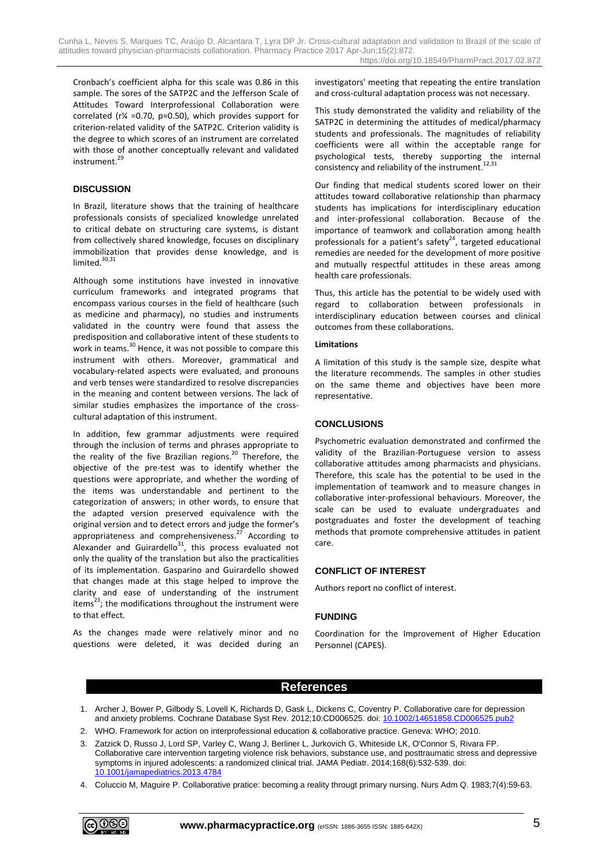Cronbach's coefficient alpha for this scale was 0.86 in this sample. The sores of the SATP2C and the Jefferson Scale of Attitudes Toward Interprofessional Collaboration were correlated (r¼ =0.70, p=0.50), which provides support for criterion-related validity of the SATP2C. Criterion validity is the degree to which scores of an instrument are correlated with those of another conceptually relevant and validated instrument. 29

## **DISCUSSION**

In Brazil, literature shows that the training of healthcare professionals consists of specialized knowledge unrelated to critical debate on structuring care systems, is distant from collectively shared knowledge, focuses on disciplinary immobilization that provides dense knowledge, and is limited.<sup>30,31</sup>

Although some institutions have invested in innovative curriculum frameworks and integrated programs that encompass various courses in the field of healthcare (such as medicine and pharmacy), no studies and instruments validated in the country were found that assess the predisposition and collaborative intent of these students to work in teams.<sup>30</sup> Hence, it was not possible to compare this instrument with others. Moreover, grammatical and vocabulary-related aspects were evaluated, and pronouns and verb tenses were standardized to resolve discrepancies in the meaning and content between versions. The lack of similar studies emphasizes the importance of the crosscultural adaptation of this instrument.

In addition, few grammar adjustments were required through the inclusion of terms and phrases appropriate to the reality of the five Brazilian regions.<sup>20</sup> Therefore, the objective of the pre-test was to identify whether the questions were appropriate, and whether the wording of the items was understandable and pertinent to the categorization of answers; in other words, to ensure that the adapted version preserved equivalence with the original version and to detect errors and judge the former's appropriateness and comprehensiveness.<sup>27</sup> According to Alexander and Guirardello<sup>31</sup>, this process evaluated not only the quality of the translation but also the practicalities of its implementation. Gasparino and Guirardello showed that changes made at this stage helped to improve the clarity and ease of understanding of the instrument items $^{23}$ ; the modifications throughout the instrument were to that effect.

As the changes made were relatively minor and no questions were deleted, it was decided during an investigators' meeting that repeating the entire translation and cross-cultural adaptation process was not necessary.

This study demonstrated the validity and reliability of the SATP2C in determining the attitudes of medical/pharmacy students and professionals. The magnitudes of reliability coefficients were all within the acceptable range for psychological tests, thereby supporting the internal consistency and reliability of the instrument.<sup>12,31</sup>

Our finding that medical students scored lower on their attitudes toward collaborative relationship than pharmacy students has implications for interdisciplinary education and inter-professional collaboration. Because of the importance of teamwork and collaboration among health professionals for a patient's safety $24$ , targeted educational remedies are needed for the development of more positive and mutually respectful attitudes in these areas among health care professionals.

Thus, this article has the potential to be widely used with regard to collaboration between professionals in interdisciplinary education between courses and clinical outcomes from these collaborations.

## **Limitations**

A limitation of this study is the sample size, despite what the literature recommends. The samples in other studies on the same theme and objectives have been more representative.

## **CONCLUSIONS**

Psychometric evaluation demonstrated and confirmed the validity of the Brazilian-Portuguese version to assess collaborative attitudes among pharmacists and physicians. Therefore, this scale has the potential to be used in the implementation of teamwork and to measure changes in collaborative inter-professional behaviours. Moreover, the scale can be used to evaluate undergraduates and postgraduates and foster the development of teaching methods that promote comprehensive attitudes in patient care.

## **CONFLICT OF INTEREST**

Authors report no conflict of interest.

## **FUNDING**

Coordination for the Improvement of Higher Education Personnel (CAPES).

## **References**

- 1. Archer J, Bower P, Gilbody S, Lovell K, Richards D, Gask L, Dickens C, Coventry P. Collaborative care for depression and anxiety problems. Cochrane Database Syst Rev. 2012;10:CD006525. doi[: 10.1002/14651858.CD006525.pub2](https://doi.org/10.1002/14651858.CD006525.pub2)
- 2. WHO. Framework for action on interprofessional education & collaborative practice. Geneva: WHO; 2010.
- 3. Zatzick D, Russo J, Lord SP, Varley C, Wang J, Berliner L, Jurkovich G, Whiteside LK, O'Connor S, Rivara FP. Collaborative care intervention targeting violence risk behaviors, substance use, and posttraumatic stress and depressive symptoms in injured adolescents: a randomized clinical trial. JAMA Pediatr. 2014;168(6):532-539. doi: [10.1001/jamapediatrics.2013.4784](https://doi.org/10.1001/jamapediatrics.2013.4784)
- 4. Coluccio M, Maguire P. Collaborative pratice: becoming a reality througt primary nursing. Nurs Adm Q. 1983;7(4):59-63.